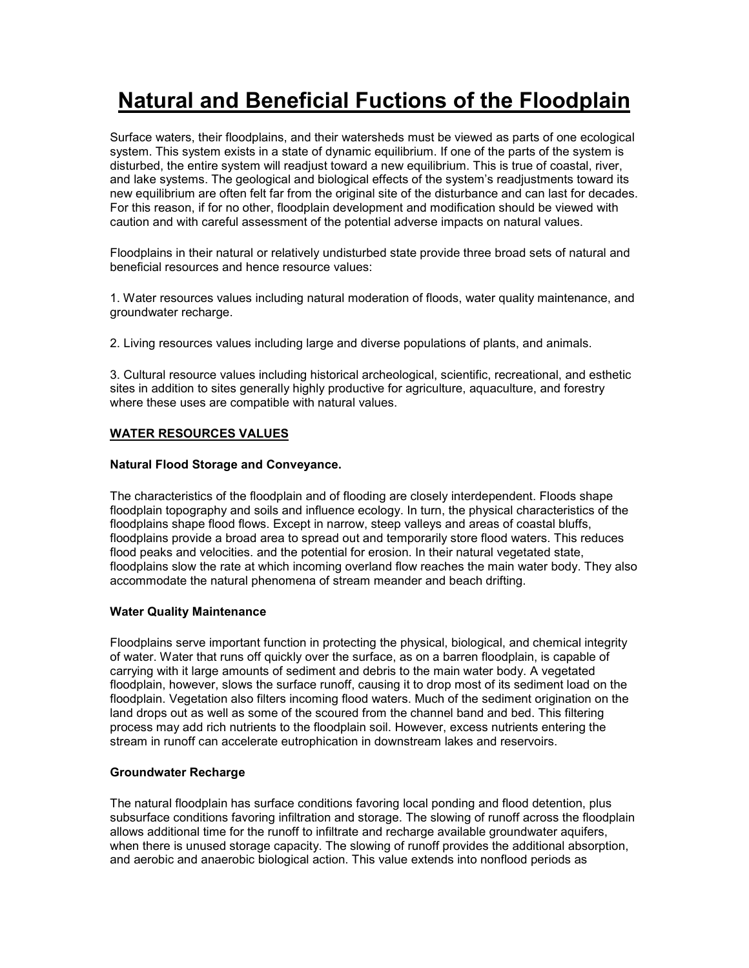# **Natural and Beneficial Fuctions of the Floodplain**

Surface waters, their floodplains, and their watersheds must be viewed as parts of one ecological system. This system exists in a state of dynamic equilibrium. If one of the parts of the system is disturbed, the entire system will readjust toward a new equilibrium. This is true of coastal, river, and lake systems. The geological and biological effects of the system's readjustments toward its new equilibrium are often felt far from the original site of the disturbance and can last for decades. For this reason, if for no other, floodplain development and modification should be viewed with caution and with careful assessment of the potential adverse impacts on natural values.

Floodplains in their natural or relatively undisturbed state provide three broad sets of natural and beneficial resources and hence resource values:

1. Water resources values including natural moderation of floods, water quality maintenance, and groundwater recharge.

2. Living resources values including large and diverse populations of plants, and animals.

3. Cultural resource values including historical archeological, scientific, recreational, and esthetic sites in addition to sites generally highly productive for agriculture, aquaculture, and forestry where these uses are compatible with natural values.

# **WATER RESOURCES VALUES**

## **Natural Flood Storage and Conveyance.**

The characteristics of the floodplain and of flooding are closely interdependent. Floods shape floodplain topography and soils and influence ecology. In turn, the physical characteristics of the floodplains shape flood flows. Except in narrow, steep valleys and areas of coastal bluffs, floodplains provide a broad area to spread out and temporarily store flood waters. This reduces flood peaks and velocities. and the potential for erosion. In their natural vegetated state, floodplains slow the rate at which incoming overland flow reaches the main water body. They also accommodate the natural phenomena of stream meander and beach drifting.

#### **Water Quality Maintenance**

Floodplains serve important function in protecting the physical, biological, and chemical integrity of water. Water that runs off quickly over the surface, as on a barren floodplain, is capable of carrying with it large amounts of sediment and debris to the main water body. A vegetated floodplain, however, slows the surface runoff, causing it to drop most of its sediment load on the floodplain. Vegetation also filters incoming flood waters. Much of the sediment origination on the land drops out as well as some of the scoured from the channel band and bed. This filtering process may add rich nutrients to the floodplain soil. However, excess nutrients entering the stream in runoff can accelerate eutrophication in downstream lakes and reservoirs.

#### **Groundwater Recharge**

The natural floodplain has surface conditions favoring local ponding and flood detention, plus subsurface conditions favoring infiltration and storage. The slowing of runoff across the floodplain allows additional time for the runoff to infiltrate and recharge available groundwater aquifers, when there is unused storage capacity. The slowing of runoff provides the additional absorption, and aerobic and anaerobic biological action. This value extends into nonflood periods as